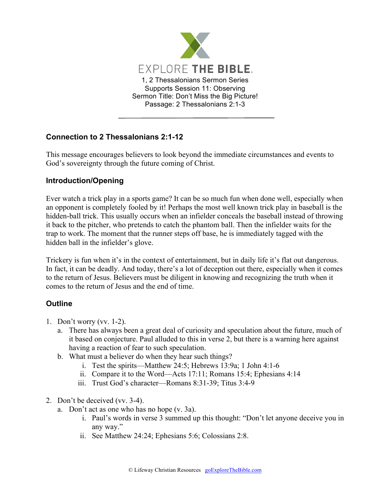

## **Connection to 2 Thessalonians 2:1-12**

This message encourages believers to look beyond the immediate circumstances and events to God's sovereignty through the future coming of Christ.

## **Introduction/Opening**

Ever watch a trick play in a sports game? It can be so much fun when done well, especially when an opponent is completely fooled by it! Perhaps the most well known trick play in baseball is the hidden-ball trick. This usually occurs when an infielder conceals the baseball instead of throwing it back to the pitcher, who pretends to catch the phantom ball. Then the infielder waits for the trap to work. The moment that the runner steps off base, he is immediately tagged with the hidden ball in the infielder's glove.

Trickery is fun when it's in the context of entertainment, but in daily life it's flat out dangerous. In fact, it can be deadly. And today, there's a lot of deception out there, especially when it comes to the return of Jesus. Believers must be diligent in knowing and recognizing the truth when it comes to the return of Jesus and the end of time.

## **Outline**

- 1. Don't worry (vv. 1-2).
	- a. There has always been a great deal of curiosity and speculation about the future, much of it based on conjecture. Paul alluded to this in verse 2, but there is a warning here against having a reaction of fear to such speculation.
	- b. What must a believer do when they hear such things?
		- i. Test the spirits—Matthew 24:5; Hebrews 13:9a; 1 John 4:1-6
		- ii. Compare it to the Word—Acts 17:11; Romans 15:4; Ephesians 4:14
		- iii. Trust God's character—Romans 8:31-39; Titus 3:4-9
- 2. Don't be deceived (vv. 3-4).
	- a. Don't act as one who has no hope (v. 3a).
		- i. Paul's words in verse 3 summed up this thought: "Don't let anyone deceive you in any way."
		- ii. See Matthew 24:24; Ephesians 5:6; Colossians 2:8.